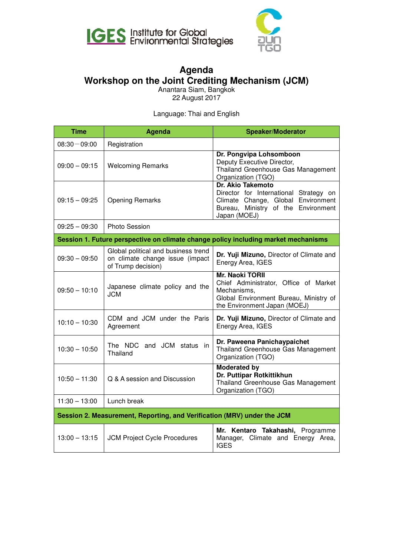



## **Workshop on the Joint Crediting Mechanism (JCM) Agenda**

Anantara Siam, Bangkok 22 August 2017

Language: Thai and English

| <b>Time</b>                                                                        | <b>Agenda</b>                                                                                | <b>Speaker/Moderator</b>                                                                                                                                 |  |
|------------------------------------------------------------------------------------|----------------------------------------------------------------------------------------------|----------------------------------------------------------------------------------------------------------------------------------------------------------|--|
| $08:30 - 09:00$                                                                    | Registration                                                                                 |                                                                                                                                                          |  |
| $09:00 - 09:15$                                                                    | <b>Welcoming Remarks</b>                                                                     | Dr. Pongvipa Lohsomboon<br>Deputy Executive Director,<br>Thailand Greenhouse Gas Management<br>Organization (TGO)                                        |  |
| $09:15 - 09:25$                                                                    | <b>Opening Remarks</b>                                                                       | Dr. Akio Takemoto<br>Director for International Strategy on<br>Climate Change, Global Environment<br>Bureau, Ministry of the Environment<br>Japan (MOEJ) |  |
| $09:25 - 09:30$                                                                    | <b>Photo Session</b>                                                                         |                                                                                                                                                          |  |
| Session 1. Future perspective on climate change policy including market mechanisms |                                                                                              |                                                                                                                                                          |  |
| $09:30 - 09:50$                                                                    | Global political and business trend<br>on climate change issue (impact<br>of Trump decision) | Dr. Yuji Mizuno, Director of Climate and<br>Energy Area, IGES                                                                                            |  |
| $09:50 - 10:10$                                                                    | Japanese climate policy and the<br><b>JCM</b>                                                | <b>Mr. Naoki TORII</b><br>Chief Administrator, Office of Market<br>Mechanisms,<br>Global Environment Bureau, Ministry of<br>the Environment Japan (MOEJ) |  |
| $10:10 - 10:30$                                                                    | CDM and JCM under the Paris<br>Agreement                                                     | Dr. Yuji Mizuno, Director of Climate and<br>Energy Area, IGES                                                                                            |  |
| $10:30 - 10:50$                                                                    | and JCM status in<br>The NDC<br>Thailand                                                     | Dr. Paweena Panichaypaichet<br>Thailand Greenhouse Gas Management<br>Organization (TGO)                                                                  |  |
| $10:50 - 11:30$                                                                    | Q & A session and Discussion                                                                 | <b>Moderated by</b><br>Dr. Puttipar Rotkittikhun<br>Thailand Greenhouse Gas Management<br>Organization (TGO)                                             |  |
| $11:30 - 13:00$                                                                    | Lunch break                                                                                  |                                                                                                                                                          |  |
| Session 2. Measurement, Reporting, and Verification (MRV) under the JCM            |                                                                                              |                                                                                                                                                          |  |
| $13:00 - 13:15$                                                                    | <b>JCM Project Cycle Procedures</b>                                                          | Mr. Kentaro Takahashi, Programme<br>Manager, Climate and Energy Area,<br><b>IGES</b>                                                                     |  |